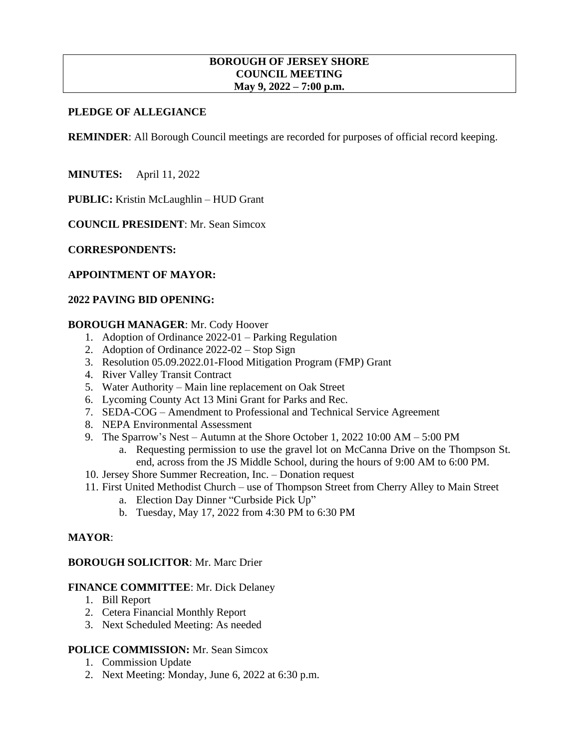#### **BOROUGH OF JERSEY SHORE COUNCIL MEETING May 9, 2022 – 7:00 p.m.**

### **PLEDGE OF ALLEGIANCE**

**REMINDER:** All Borough Council meetings are recorded for purposes of official record keeping.

**MINUTES:** April 11, 2022

**PUBLIC:** Kristin McLaughlin – HUD Grant

**COUNCIL PRESIDENT**: Mr. Sean Simcox

**CORRESPONDENTS:**

#### **APPOINTMENT OF MAYOR:**

#### **2022 PAVING BID OPENING:**

#### **BOROUGH MANAGER**: Mr. Cody Hoover

- 1. Adoption of Ordinance 2022-01 Parking Regulation
- 2. Adoption of Ordinance 2022-02 Stop Sign
- 3. Resolution 05.09.2022.01-Flood Mitigation Program (FMP) Grant
- 4. River Valley Transit Contract
- 5. Water Authority Main line replacement on Oak Street
- 6. Lycoming County Act 13 Mini Grant for Parks and Rec.
- 7. SEDA-COG Amendment to Professional and Technical Service Agreement
- 8. NEPA Environmental Assessment
- 9. The Sparrow's Nest Autumn at the Shore October 1, 2022 10:00 AM 5:00 PM
	- a. Requesting permission to use the gravel lot on McCanna Drive on the Thompson St. end, across from the JS Middle School, during the hours of 9:00 AM to 6:00 PM.
- 10. Jersey Shore Summer Recreation, Inc. Donation request
- 11. First United Methodist Church use of Thompson Street from Cherry Alley to Main Street
	- a. Election Day Dinner "Curbside Pick Up"
	- b. Tuesday, May 17, 2022 from 4:30 PM to 6:30 PM

#### **MAYOR**:

#### **BOROUGH SOLICITOR**: Mr. Marc Drier

#### **FINANCE COMMITTEE**: Mr. Dick Delaney

- 1. Bill Report
- 2. Cetera Financial Monthly Report
- 3. Next Scheduled Meeting: As needed

### **POLICE COMMISSION:** Mr. Sean Simcox

- 1. Commission Update
- 2. Next Meeting: Monday, June 6, 2022 at 6:30 p.m.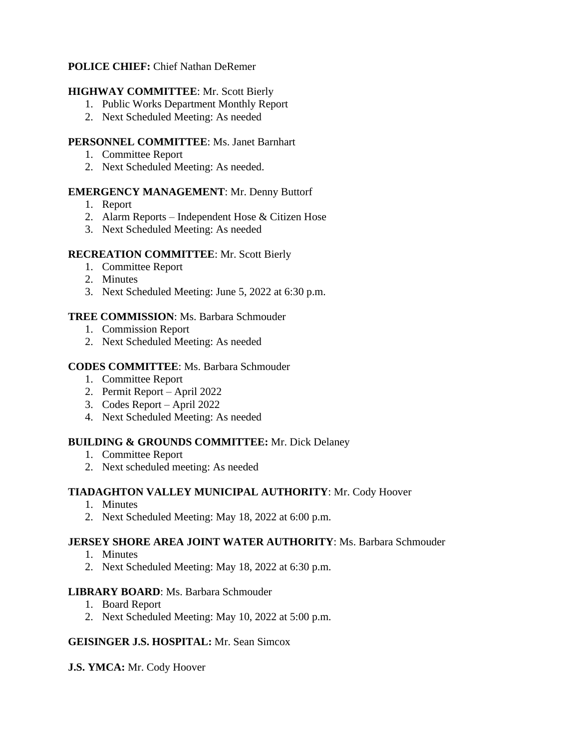# **POLICE CHIEF:** Chief Nathan DeRemer

# **HIGHWAY COMMITTEE**: Mr. Scott Bierly

- 1. Public Works Department Monthly Report
- 2. Next Scheduled Meeting: As needed

## **PERSONNEL COMMITTEE**: Ms. Janet Barnhart

- 1. Committee Report
- 2. Next Scheduled Meeting: As needed.

## **EMERGENCY MANAGEMENT**: Mr. Denny Buttorf

- 1. Report
- 2. Alarm Reports Independent Hose & Citizen Hose
- 3. Next Scheduled Meeting: As needed

## **RECREATION COMMITTEE**: Mr. Scott Bierly

- 1. Committee Report
- 2. Minutes
- 3. Next Scheduled Meeting: June 5, 2022 at 6:30 p.m.

## **TREE COMMISSION**: Ms. Barbara Schmouder

- 1. Commission Report
- 2. Next Scheduled Meeting: As needed

## **CODES COMMITTEE**: Ms. Barbara Schmouder

- 1. Committee Report
- 2. Permit Report April 2022
- 3. Codes Report April 2022
- 4. Next Scheduled Meeting: As needed

# **BUILDING & GROUNDS COMMITTEE:** Mr. Dick Delaney

- 1. Committee Report
- 2. Next scheduled meeting: As needed

# **TIADAGHTON VALLEY MUNICIPAL AUTHORITY**: Mr. Cody Hoover

- 1. Minutes
- 2. Next Scheduled Meeting: May 18, 2022 at 6:00 p.m.

### **JERSEY SHORE AREA JOINT WATER AUTHORITY**: Ms. Barbara Schmouder

- 1. Minutes
- 2. Next Scheduled Meeting: May 18, 2022 at 6:30 p.m.

### **LIBRARY BOARD**: Ms. Barbara Schmouder

- 1. Board Report
- 2. Next Scheduled Meeting: May 10, 2022 at 5:00 p.m.

### **GEISINGER J.S. HOSPITAL:** Mr. Sean Simcox

**J.S. YMCA:** Mr. Cody Hoover